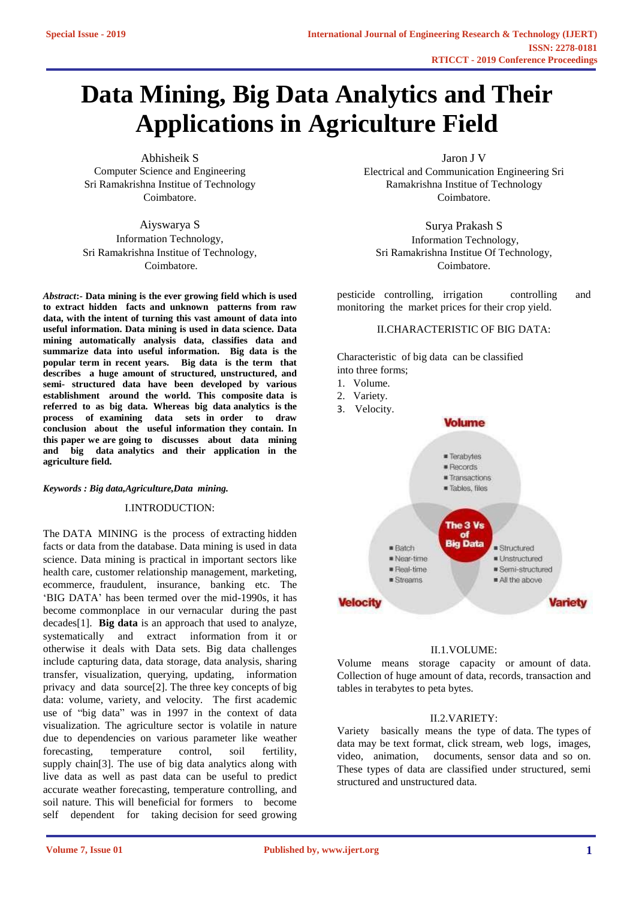# **Data Mining, Big Data Analytics and Their Applications in Agriculture Field**

Abhisheik S Computer Science and Engineering Sri Ramakrishna Institue of Technology Coimbatore.

Aiyswarya S Information Technology, Sri Ramakrishna Institue of Technology, Coimbatore.

*Abstract***:- Data mining is the ever growing field which is used to extract hidden facts and unknown patterns from raw data, with the intent of turning this vast amount of data into useful information. Data mining is used in data science. Data mining automatically analysis data, classifies data and summarize data into useful information. Big data is the popular term in recent years. Big data is the term that describes a huge amount of structured, unstructured, and semi- structured data have been developed by various establishment around the world. This composite data is referred to as big data. Whereas big data analytics is the process of examining data sets in order to draw conclusion about the useful information they contain. In this paper we are going to discusses about data mining and big data analytics and their application in the agriculture field.**

*Keywords : Big data,Agriculture,Data mining.*

I.INTRODUCTION:

The DATA MINING is the process of extracting hidden facts or data from the database. Data mining is used in data science. Data mining is practical in important sectors like health care, customer relationship management, marketing, ecommerce, fraudulent, insurance, banking etc*.* The 'BIG DATA' has been termed over the mid-1990s, it has become commonplace in our vernacular during the past decades[1]. **Big data** is an approach that used to analyze, systematically and extract information from it or otherwise it deals with Data sets. Big data challenges include capturing [data, data](https://en.wikipedia.org/wiki/Automatic_identification_and_data_capture) storage, [data](https://en.wikipedia.org/wiki/Data_analysis) [analysis,](https://en.wikipedia.org/wiki/Data_analysis) [sharing](https://en.wikipedia.org/wiki/Data_sharing)  transfer, [visualization,](https://en.wikipedia.org/wiki/Data_sharing) querying, updating, [information](https://en.wikipedia.org/wiki/Information_privacy)  [privacy an](https://en.wikipedia.org/wiki/Information_privacy)d data source[2]. The three key concepts of big data: volume, variety, and velocity*.* The first academic use of "big data" was in 1997 in the context of data visualization. The agriculture sector is volatile in nature due to dependencies on various parameter like weather forecasting, temperature control, soil fertility, supply chain[3]. The use of big data analytics along with live data as well as past data can be useful to predict accurate weather forecasting, temperature controlling, and soil nature. This will beneficial for formers to become self dependent for taking decision for seed growing Jaron J V

Electrical and Communication Engineering Sri Ramakrishna Institue of Technology Coimbatore.

Surya Prakash S Information Technology, Sri Ramakrishna Institue Of Technology, Coimbatore.

pesticide controlling, irrigation controlling and monitoring the market prices for their crop yield.

# II.CHARACTERISTIC OF BIG DATA:

Characteristic of big data can be classified into three forms;

- 1. Volume.
- 2. Variety.
- 3. Velocity.



# II.1.VOLUME:

Volume means storage capacity or amount of data. Collection of huge amount of data, records, transaction and tables in terabytes to peta bytes.

#### II.2.VARIETY:

Variety basically means the type of data. The types of data may be text format, click stream, web logs, images, video, animation, documents, sensor data and so on. These types of data are classified under structured, semi structured and unstructured data.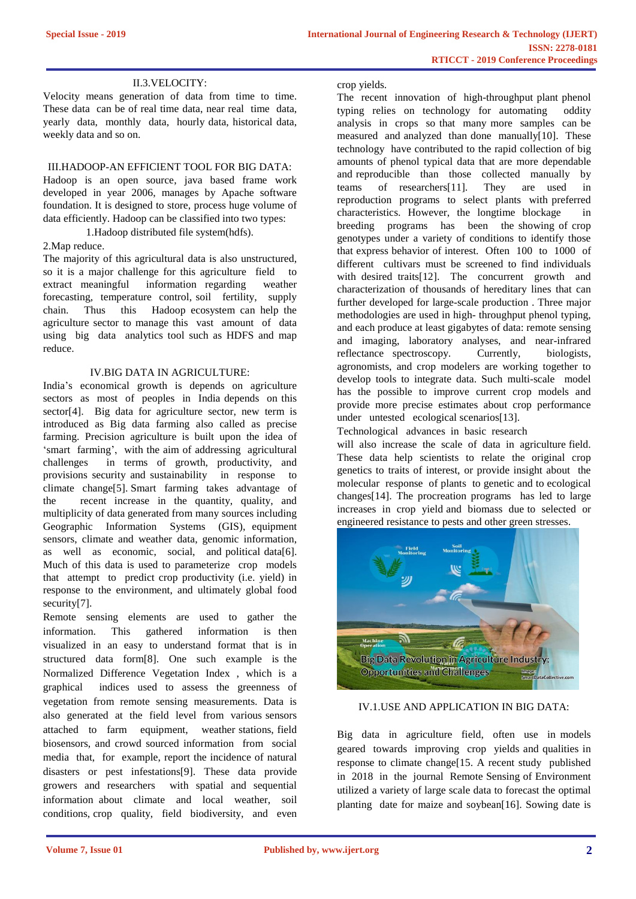# II.3.VELOCITY:

Velocity means generation of data from time to time. These data can be of real time data, near real time data, yearly data, monthly data, hourly data, historical data, weekly data and so on.

### III.HADOOP-AN EFFICIENT TOOL FOR BIG DATA:

Hadoop is an open source, java based frame work developed in year 2006, manages by Apache software foundation. It is designed to store, process huge volume of data efficiently. Hadoop can be classified into two types:

1.Hadoop distributed file system(hdfs).

### 2.Map reduce.

The majority of this agricultural data is also unstructured, so it is a major challenge for this agriculture field to extract meaningful information regarding weather forecasting, temperature control, soil fertility, supply chain. Thus this Hadoop ecosystem can help the agriculture sector to manage this vast amount of data using big data analytics tool such as HDFS and map reduce.

### IV.BIG DATA IN AGRICULTURE:

India's economical growth is depends on agriculture sectors as most of peoples in India depends on this sector[4]. Big data for agriculture sector, new term is introduced as Big data farming also called as precise farming. Precision agriculture is built upon the idea of 'smart farming', with the aim of addressing agricultural challenges in terms of growth, productivity, and provisions security and sustainability in response to climate change[5]. Smart farming takes advantage of the recent increase in the quantity, quality, and multiplicity of data generated from many sources including Geographic Information Systems (GIS), equipment sensors, climate and weather data, genomic information, as well as economic, social, and political data[6]. Much of this data is used to parameterize crop models that attempt to predict crop productivity (i.e. yield) in response to the environment, and ultimately global food security[7].

Remote sensing elements are used to gather the information. This gathered information is then visualized in an easy to understand format that is in structured data form[8]. One such example is the Normalized Difference Vegetation Index , which is a graphical indices used to assess the greenness of vegetation from remote sensing measurements. Data is also generated at the field level from various sensors attached to farm equipment, weather stations, field biosensors, and crowd sourced information from social media that, for example, report the incidence of natural disasters or pest infestations[9]. These data provide growers and researchers with spatial and sequential information about climate and local weather, soil conditions, crop quality, field biodiversity, and even

crop yields.

The recent innovation of high-throughput plant phenol typing relies on technology for automating oddity analysis in crops so that many more samples can be measured and analyzed than done manually[10]. These technology have contributed to the rapid collection of big amounts of phenol typical data that are more dependable and reproducible than those collected manually by teams of researchers [11]. They are used in teams of researchers[11]. They are used in reproduction programs to select plants with preferred characteristics. However, the longtime blockage in breeding programs has been the showing of crop genotypes under a variety of conditions to identify those that express behavior of interest. Often 100 to 1000 of different cultivars must be screened to find individuals with desired traits<sup>[12]</sup>. The concurrent growth and characterization of thousands of hereditary lines that can further developed for large-scale production . Three major methodologies are used in high- throughput phenol typing, and each produce at least gigabytes of data: remote sensing and imaging, laboratory analyses, and near-infrared reflectance spectroscopy. Currently, biologists, agronomists, and crop modelers are working together to develop tools to integrate data. Such multi-scale model has the possible to improve current crop models and provide more precise estimates about crop performance under untested ecological scenarios[13].

Technological advances in basic research

will also increase the scale of data in agriculture field. These data help scientists to relate the original crop genetics to traits of interest, or provide insight about the molecular response of plants to genetic and to ecological changes[14]. The procreation programs has led to large increases in crop yield and biomass due to selected or engineered resistance to pests and other green stresses.



## IV.1.USE AND APPLICATION IN BIG DATA:

Big data in agriculture field, often use in models geared towards improving crop yields and qualities in response to climate change[15. A recent study published in 2018 in the journal Remote Sensing of Environment utilized a variety of large scale data to forecast the optimal planting date for maize and soybean[16]. Sowing date is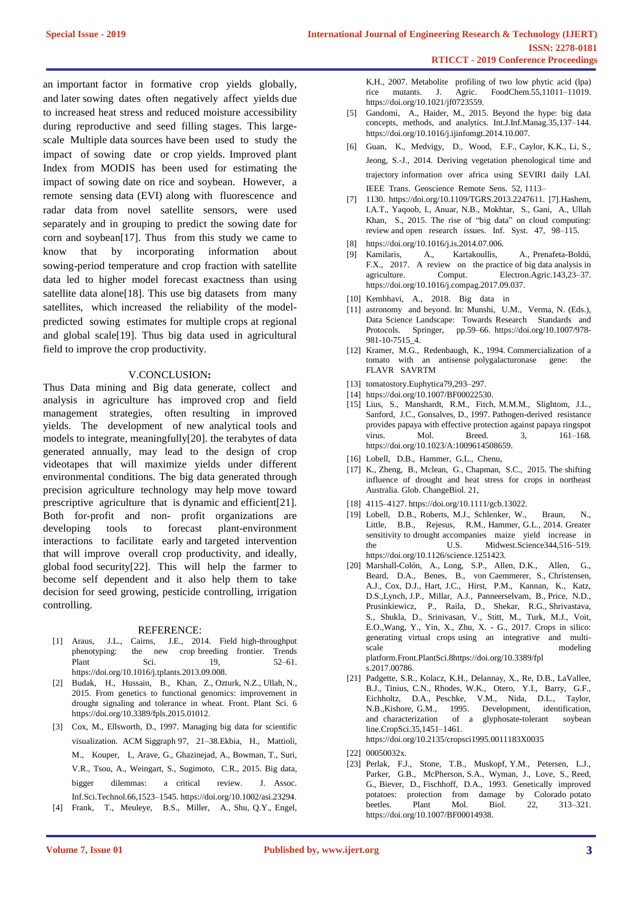an important factor in formative crop yields globally, and later sowing dates often negatively affect yields due to increased heat stress and reduced moisture accessibility during reproductive and seed filling stages. This largescale Multiple data sources have been used to study the impact of sowing date or crop yields. Improved plant Index from MODIS has been used for estimating the impact of sowing date on rice and soybean. However, a remote sensing data (EVI) along with fluorescence and radar data from novel satellite sensors, were used separately and in grouping to predict the sowing date for corn and soybean[17]. Thus from this study we came to know that by incorporating information about sowing-period temperature and crop fraction with satellite data led to higher model forecast exactness than using satellite data alone<sup>[18]</sup>. This use big datasets from many satellites, which increased the reliability of the modelpredicted sowing estimates for multiple crops at regional and global scale[19]. Thus big data used in agricultural field to improve the crop productivity.

#### V.CONCLUSION**:**

Thus Data mining and Big data generate, collect and analysis in agriculture has improved crop and field management strategies, often resulting in improved yields. The development of new analytical tools and models to integrate, meaningfully[20]. the terabytes of data generated annually, may lead to the design of crop videotapes that will maximize yields under different environmental conditions. The big data generated through precision agriculture technology may help move toward prescriptive agriculture that is dynamic and efficient[21]. Both for-profit and non- profit organizations are developing tools to forecast plant-environment interactions to facilitate early and targeted intervention that will improve overall crop productivity, and ideally, global food security[22]. This will help the farmer to become self dependent and it also help them to take decision for seed growing, pesticide controlling, irrigation controlling.

#### REFERENCE:

- [1] Araus, J.L., Cairns, J.E., 2014. Field high-throughput phenotyping: the new crop breeding frontier. Trends Plant Sci. 19, 52–61. https://doi.org/10.1016/j.tplants.2013.09.008.
- [2] Budak, H., Hussain, B., Khan, Z., Ozturk, N.Z., Ullah, N., 2015. From genetics to functional genomics: improvement in drought signaling and tolerance in wheat. Front. Plant Sci. 6 https://doi.org/10.3389/fpls.2015.01012.
- [3] Cox, M., Ellsworth, D., 1997. Managing big data for scientific visualization. ACM Siggraph 97, 21–38.Ekbia, H., Mattioli, M., Kouper, I., Arave, G., Ghazinejad, A., Bowman, T., Suri, V.R., Tsou, A., Weingart, S., Sugimoto, C.R., 2015. Big data, bigger dilemmas: a critical review. J. Assoc. Inf.Sci.Technol.66,1523–1545. https://doi.org/10.1002/asi.23294.
- [4] Frank, T., Meuleye, B.S., Miller, A., Shu, Q.Y., Engel,

K.H., 2007. Metabolite profiling of two low phytic acid (lpa) rice mutants. J. Agric. FoodChem.55,11011–11019. https://doi.org/10.1021/jf0723559.

- [5] Gandomi, A., Haider, M., 2015. Beyond the hype: big data concepts, methods, and analytics. Int.J.Inf.Manag.35,137–144. https://doi.org/10.1016/j.ijinfomgt.2014.10.007.
- [6] Guan, K., Medvigy, D., Wood, E.F., Caylor, K.K., Li, S., Jeong, S.-J., 2014. Deriving vegetation phenological time and trajectory information over africa using SEVIRI daily LAI. IEEE Trans. Geoscience Remote Sens. 52, 1113–
- [7] 1130. https://doi.org/10.1109/TGRS.2013.2247611. [7].Hashem, I.A.T., Yaqoob, I., Anuar, N.B., Mokhtar, S., Gani, A., Ullah Khan, S., 2015. The rise of "big data" on cloud computing: review and open research issues. Inf. Syst. 47, 98–115.
- [8] https://doi.org/10.1016/j.is.2014.07.006.
- [9] Kamilaris, A., Kartakoullis, A., Prenafeta-Boldú, F.X., 2017. A review on the practice of big data analysis in agriculture. Comput. Electron.Agric.143,23–37. https://doi.org/10.1016/j.compag.2017.09.037.
- [10] Kembhavi, A., 2018. Big data in
- [11] astronomy and beyond. In: Munshi, U.M., Verma, N. (Eds.), Data Science Landscape: Towards Research Standards and Protocols. Springer, pp.59–66. https://doi.org/10.1007/978- 981-10-7515\_4.
- [12] Kramer, M.G., Redenbaugh, K., 1994. Commercialization of a tomato with an antisense polygalacturonase gene: the FLAVR SAVRTM
- [13] tomatostory.Euphytica79,293-297.
- [14] https://doi.org/10.1007/BF00022530.
- [15] Lius, S., Manshardt, R.M., Fitch, M.M.M., Slightom, J.L., Sanford, J.C., Gonsalves, D., 1997. Pathogen-derived resistance provides papaya with effective protection against papaya ringspot virus. Mol. Breed. 3, 161–168. https://doi.org/10.1023/A:1009614508659.
- [16] Lobell, D.B., Hammer, G.L., Chenu,
- [17] K., Zheng, B., Mclean, G., Chapman, S.C., 2015. The shifting influence of drought and heat stress for crops in northeast Australia. Glob. ChangeBiol. 21,
- [18] 4115–4127. https://doi.org/10.1111/gcb.13022.
- [19] Lobell, D.B., Roberts, M.J., Schlenker, W., Braun, N., Little, B.B., Rejesus, R.M., Hammer, G.L., 2014. Greater sensitivity to drought accompanies maize yield increase in the U.S. Midwest.Science344,516–519. https://doi.org/10.1126/science.1251423.
- [20] Marshall-Colón, A., Long, S.P., Allen, D.K., Allen, G., Beard, D.A., Benes, B., von Caemmerer, S., Christensen, A.J., Cox, D.J., Hart, J.C., Hirst, P.M., Kannan, K., Katz, D.S.,Lynch, J.P., Millar, A.J., Panneerselvam, B., Price, N.D., Prusinkiewicz, P., Raila, D., Shekar, R.G., Shrivastava, S., Shukla, D., Srinivasan, V., Stitt, M., Turk, M.J., Voit, E.O.,Wang, Y., Yin, X., Zhu, X. - G., 2017. Crops in silico: generating virtual crops using an integrative and multiscale modeling platform.Front.PlantSci.8https://doi.org/10.3389/fpl s.2017.00786.
- [21] Padgette, S.R., Kolacz, K.H., Delannay, X., Re, D.B., LaVallee, B.J., Tinius, C.N., Rhodes, W.K., Otero, Y.I., Barry, G.F., Eichholtz, D.A., Peschke, V.M., Nida, D.L., Taylor, N.B.,Kishore, G.M., 1995. Development, identification, and characterization of a glyphosate-tolerant soybean line.CropSci.35,1451–1461. https://doi.org/10.2135/cropsci1995.0011183X0035
- [22] 00050032x.
- [23] Perlak, F.J., Stone, T.B., Muskopf, Y.M., Petersen, L.J., Parker, G.B., McPherson, S.A., Wyman, J., Love, S., Reed, G., Biever, D., Fischhoff, D.A., 1993. Genetically improved potatoes: protection from damage by Colorado potato beetles. Plant Mol. Biol. 22, 313-321. beetles. Plant Mol. Biol. 22, 313–321. https://doi.org/10.1007/BF00014938.